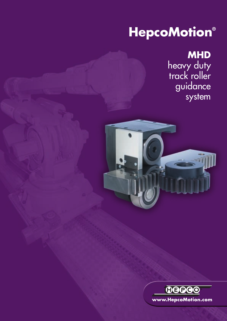# **HepcoMotion®**

**MHD** heavy duty track roller guidance system

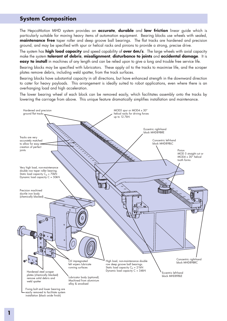### **System Composition**

The HepcoMotion MHD system provides an **accurate**, **durable** and **low friction** linear guide which is particularly suitable for moving heavy items of automation equipment. Bearing blocks use wheels with sealed, **maintenance free** taper roller and deep groove ball bearings. The flat tracks are hardened and precision ground, and may be specified with spur or helical racks and pinions to provide a strong, precise drive.

The system has **high load capacity** and speed capability of **over 6m/s**. The large wheels with axial capacity make the system **tolerant of debris**, **misalignment**, **disturbance to joints** and **accidental damage**. It is **easy to install** in machines of any length and can be relied upon to give a long and trouble free service life.

Bearing blocks may be specified with lubricators. These apply oil to the tracks to maximise life, and the scraper plates remove debris, including weld spatter, from the track surfaces.

Bearing blocks have substantial capacity in all directions, but have enhanced strength in the downward direction to cater for heavy payloads. This arrangement is ideally suited to robot applications, even where there is an overhanging load and high acceleration.

The lower bearing wheel of each block can be removed easily, which facilitates assembly onto the tracks by lowering the carriage from above. This unique feature dramatically simplifies installation and maintenance.

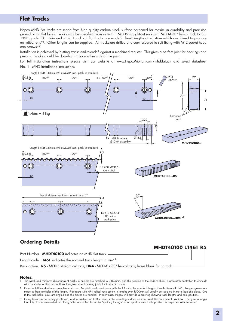## **Flat Tracks**

Hepco MHD flat tracks are made from high quality carbon steel, surface hardened for maximum durability and precision ground on all flat faces. Tracks may be specified plain or with a MOD5 straight-cut rack or a MOD4 30° helical rack to ISO 1328 grade 10. Plain and straight rack cut flat tracks are made in fixed lengths of ~1.46m which are joined to produce unlimited runs<sup>\*1</sup>. Other lengths can be supplied. All tracks are drilled and counterbored to suit fixing with M12 socket head cap screws\*3.

Installation is achieved by butting tracks end-to-end\*1 against a machined register. This gives a perfect joint for bearings and pinions. Tracks should be doweled in place either side of the joint.

For full installation instructions please visit our website at www.HepcoMotion.com/mhddatauk and select datasheet No. 1 - MHD Installation Instructions.



#### **Ordering Details**

**MHDT40100 L1461 R5**



#### **Notes:**

- 1. The width and thickness dimensions of tracks in one set are matched to 0.025mm, and the position of the ends of slides is accurately controlled to coincide with the centre of the rack tooth root to give perfect running joints for tracks and racks.
- 2. Enter the full length of each complete track run. For plain tracks and those with the R5 rack, the standard length of each piece is L1461. Longer systems are made up from multiples of this length. Flat tracks with HR4 helical rack option in lengths over 1500mm will usually be supplied in more than one piece. Due to the rack helix, joints are angled and the pieces are handed. In such cases Hepco will provide a drawing showing track lengths and hole positions.
- 3. Fixing holes are accurately positioned, and for systems up to 3m, holes in the mounting surface may be pre-drilled to nominal positions. For systems longer than this, it is recommended that fixing holes are drilled to suit by "spotting through" or a report on exact hole positions is requested with the order.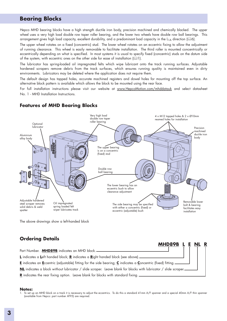## **Bearing Blocks Bearing Blocks**

Hepco MHD bearing blocks have a high strength ductile iron body, precision machined and chemically blacked. The upper wheel uses a very high load double row taper roller bearing, and the lower two wheels have double row ball bearings. This arrangement gives high load capacity, excellent durability, and a predominant load capacity in the L<sub>1A</sub> direction ( $\square$ 6).

The upper wheel rotates on a fixed (concentric) stud. The lower wheel rotates on an eccentric fixing to allow the adjustment of running clearance. This wheel is easily removable to facilitate installation. The third roller is mounted concentrically or eccentrically depending on what is specified. In most systems it is usual to specify fixed (concentric) studs on the datum side of the system, with eccentric ones on the other side for ease of installation  $(411)$ .

The lubricator has spring-loaded oil impregnated felts which wipe lubricant onto the track running surfaces. Adjustable hardened scrapers remove debris from the track surfaces, which ensures running quality is maintained even in dirty environments. Lubricators may be deleted where the application does not require them.

The default design has tapped holes, accurate machined registers and dowel holes for mounting off the top surface. An alternative block pattern is available which allows the block to be mounted using the rear face.

For full installation instructions please visit our website at www.HepcoMotion.com/mhddatauk and select datasheet No. 1 - MHD Installation Instructions.



#### **Features of MHD Bearing Blocks**

The above drawings show a left-handed block

#### **Ordering Details**

|                                                                                                                  | MHD89B L |  | E NL R |  |
|------------------------------------------------------------------------------------------------------------------|----------|--|--------|--|
| Part Number. MHD89B indicates an MHD block.                                                                      |          |  |        |  |
| L indicates a Left handed block; R indicates a Right handed block (see above)._____________________              |          |  |        |  |
| E indicates an Eccentric (adjustable) fitting for the side bearing; C indicates a Concentric (fixed) fitting.    |          |  |        |  |
| NL indicates a block without lubricator / slide scraper. Leave blank for blocks with lubricator / slide scraper. |          |  |        |  |
| R indicates the rear fixing option. Leave blank for blocks with standard fixing.                                 |          |  |        |  |

#### **Notes:**

1. To set up an MHD block on a track it is necessary to adjust the eccentrics. To do this a standard 41mm A/F spanner and a special 40mm A/F thin spanner (available from Hepco: part number AT95) are required.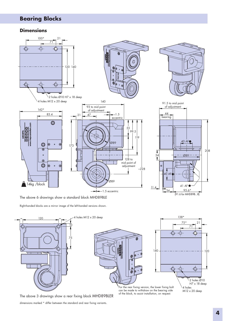## **Bearing Blocks**

#### **Dimensions**



The above 6 drawings show a standard block MHD89BLE

Right-handed blocks are a mirror image of the left-handed versions shown.



The above 3 drawings show a rear fixing block MHD89BLER

dimensions marked \* differ between the standard and rear fixing variants.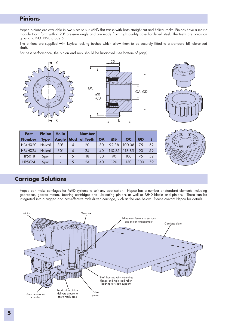### **Pinions Technical**

Hepco pinions are available in two sizes to suit MHD flat tracks with both straight cut and helical racks. Pinions have a metric module tooth form with a 20° pressure angle and are made from high quality case hardened steel. The teeth are precision ground to ISO 1328 grade 6.

The pinions are supplied with keyless locking bushes which allow them to be securely fitted to a standard h8 toleranced shaft.

For best performance, the pinion and rack should be lubricated (see bottom of page).







| Part          | <b>Pinion</b> | <b>Helix</b> |   | <b>Number</b>          |    |        |        |     |    |
|---------------|---------------|--------------|---|------------------------|----|--------|--------|-----|----|
| <b>Number</b> | Type          |              |   | Angle   Mod   of Teeth | ØA | ØB     | ØC     | ØD  | Е. |
| HP4HX20       | Helical       | $30^\circ$   | 4 | 20                     | 30 | 92.38  | 100.38 | 75  | 52 |
| HP4HX24       | Helical       | $30^\circ$   | 4 | 24                     | 40 | 110.85 | 118.85 | 90  | 59 |
| <b>HP5X18</b> | Spur          |              | 5 | 18                     | 30 | 90     | 100    | 75  | 52 |
| <b>HP5X24</b> | Spur          |              | 5 | 24                     | 40 | 120    | 130    | 100 | 59 |



## **Carriage Solutions**

Hepco can make carriages for MHD systems to suit any application. Hepco has a number of standard elements including gearboxes, geared motors, bearing cartridges and lubricating pinions as well as MHD blocks and pinions. These can be integrated into a rugged and cost-effective rack driven carriage, such as the one below. Please contact Hepco for details.

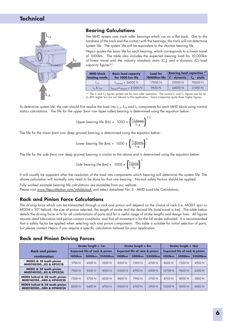## **Technical**



#### **Bearing Calculations**

The MHD system uses track roller bearings which run on a flat track. Due to the hardness of the track and the contact with the bearings, the track will not determine system life. The system life will be equivalent to the shortest bearing life.

Hepco quotes the basic life for each bearing, which corresponds to a linear travel of 1000km. The table also includes the expected bearing load for 10,000km of linear travel and the industry standard static  $(C_0)$  and a dynamic  $(C)$  load capacity figures\*1.

| <b>MHD block</b> | <b>Basic load capacity</b>           | <b>Load</b> for | Bearing load capacities *1 |                |  |  |
|------------------|--------------------------------------|-----------------|----------------------------|----------------|--|--|
| loading mode     | for 1000 km life                     | 10000km life    | C - dynamic                | $C_0$ - static |  |  |
| $L_{1A}$         | $L_{1A(max)} = 34000 N$              | 17000 N         | 50000 N                    | 70000 N        |  |  |
| $L_2$ & $L_{1R}$ | $L_{2(max)} = L_{1B(max)} = 21000 N$ | 9830 N          | 34000 N                    | 21000 N        |  |  |

 $*1$  The C and C<sub>0</sub> figures quoted are for cam roller operation. The normal C and C<sub>0</sub> figures can be up to 40% higher but are not relevant to this application. Some companies quote these higher figures.

To determine system life, the user should first resolve the load into  $L_{1A}$ ,  $L_{1B}$  and  $L_2$  components for each MHD block using normal statics calculations. The life for the upper (twin row taper roller) bearing is determined using the equation below:

Upper bearing life (km) = 1000 x 
$$
\left(\frac{L_{1A(max)}}{L_{1A}}\right)^{3.3}
$$

The life for the lower (twin row deep groove) bearing is determined using the equation below:

Lower bearing life (km) = 1000 x 
$$
\left(\frac{L_{1B(max)}}{L_{1B}}\right)^3
$$

The life for the side (twin row deep groove) bearing is similar to the above and is determined using the equation below:

Side bearing life (km) = 1000 x 
$$
\left(\frac{L_{2(max)}}{L_2}\right)^3
$$

It will usually be apparent after the resolution of the load into components which bearing will determine the system life. The above calculation will normally only need to be done for that one bearing. Normal safety factors should be applied.

Fully worked example bearing life calculations are available from our website.

Please visit www.HepcoMotion.com/mhddatauk and select datasheet No. 2 - MHD Load Life Calculations.

#### **Rack and Pinion Force Calculations**

The driving force which can be transmitted through a rack and pinion will depend on the choice of rack (i.e. MOD5 spur or MOD4 x 30° helical), the size of pinion selected, the length of stroke and the desired life (total travel in km). The table below details the driving force in N for all combinations of parts and for a useful range of stroke lengths and design lives. All figures assume ideal lubrication and pinion contact conditions, and that all movement is for the full stroke indicated. It is recommended that a safety factor be applied when selecting rack and pinion components. This table is suitable for initial selection of parts, but please contact Hepco if you require a specific calculation tailored for your application.

#### **Rack and Pinion Driving Forces**

|                                                           | Stroke length $= 1m$                      |        |         | Stroke length $=$ 4m                      |        |         | Stroke length $= 16m$                     |                    |         |  |
|-----------------------------------------------------------|-------------------------------------------|--------|---------|-------------------------------------------|--------|---------|-------------------------------------------|--------------------|---------|--|
| <b>Rack and pinion</b>                                    | <b>Expected life of rack &amp; pinion</b> |        |         | <b>Expected life of rack &amp; pinion</b> |        |         | <b>Expected life of rack &amp; pinion</b> |                    |         |  |
| combination                                               | 1000km                                    | 5000km | 25000km | 1000 <sub>km</sub>                        | 5000km | 25000km | <b>1000km</b>                             | 5000 <sub>km</sub> | 25000km |  |
| MOD5 & 18 tooth pinion<br>MHDT40100R5 & HP5X18            | 5700 N                                    | 4500 N | 3300 N  | 8300 N                                    | 7200 N | 4700 N  | 8600 N                                    | 7500 N             | 4900 N  |  |
| MOD5 & 24 tooth pinion<br><b>MHDT40100R5 &amp; HP5X24</b> | 7000 N                                    | 5500 N | 4000 N  | 12500 N                                   | 8700 N | 6300 N  | 12700 N                                   | 9600 N             | 6300 N  |  |
| MOD4 helical & 20 tooth pinion<br>MHDT40100HR4 & HP4HX20  | 7300 N                                    | 5700 N | 4200 N  | 8600 N                                    | 7900 N | 5700 N  | 8700 N                                    | 8000 N             | 5800 N  |  |
| MOD4 helical & 24 tooth pinion<br>MHDT40100HR4 & HP4HX24  | 8200 N                                    | 6400 N | 4700 N  | 10000 N                                   | 8100 N | 5900 N  | 10200 N                                   | 8300 N             | 6000 N  |  |